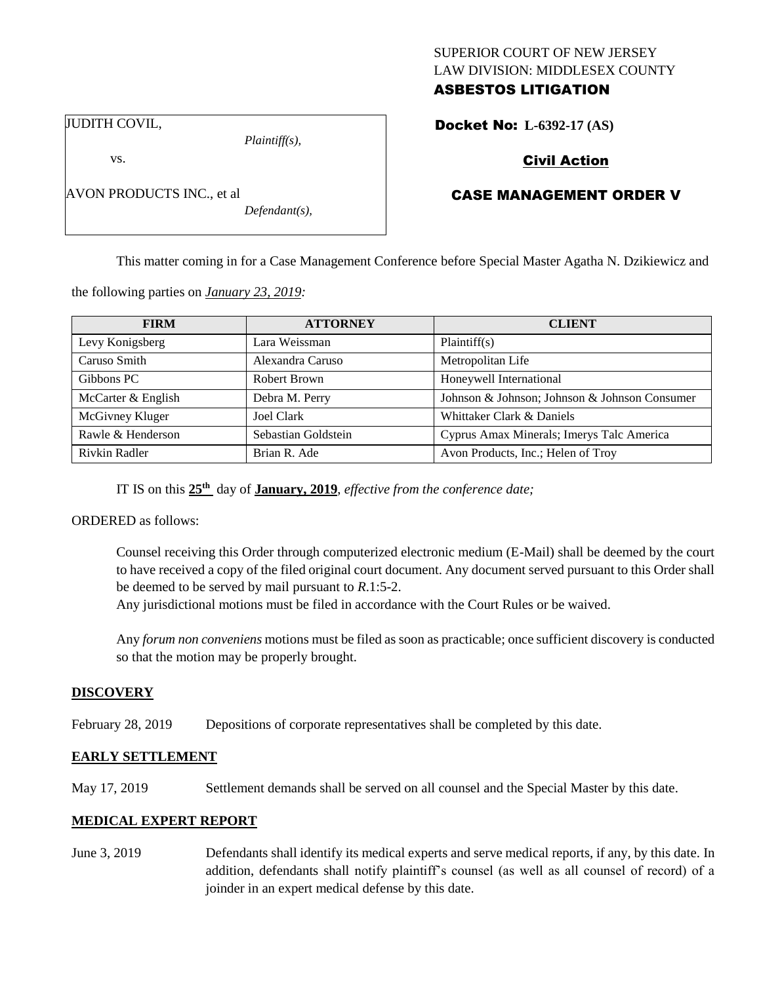# SUPERIOR COURT OF NEW JERSEY LAW DIVISION: MIDDLESEX COUNTY ASBESTOS LITIGATION

JUDITH COVIL,

vs.

AVON PRODUCTS INC., et al

*Plaintiff(s),*

*Defendant(s),*

Docket No: **L-6392-17 (AS)** 

# Civil Action

# CASE MANAGEMENT ORDER V

This matter coming in for a Case Management Conference before Special Master Agatha N. Dzikiewicz and

the following parties on *January 23, 2019:*

| <b>FIRM</b>        | <b>ATTORNEY</b>     | <b>CLIENT</b>                                 |
|--------------------|---------------------|-----------------------------------------------|
| Levy Konigsberg    | Lara Weissman       | Plaintiff(s)                                  |
| Caruso Smith       | Alexandra Caruso    | Metropolitan Life                             |
| Gibbons PC         | Robert Brown        | Honeywell International                       |
| McCarter & English | Debra M. Perry      | Johnson & Johnson; Johnson & Johnson Consumer |
| McGivney Kluger    | Joel Clark          | Whittaker Clark & Daniels                     |
| Rawle & Henderson  | Sebastian Goldstein | Cyprus Amax Minerals; Imerys Talc America     |
| Rivkin Radler      | Brian R. Ade        | Avon Products, Inc.; Helen of Troy            |

IT IS on this  $25<sup>th</sup>$  day of **January, 2019**, *effective from the conference date*;

ORDERED as follows:

Counsel receiving this Order through computerized electronic medium (E-Mail) shall be deemed by the court to have received a copy of the filed original court document. Any document served pursuant to this Order shall be deemed to be served by mail pursuant to *R*.1:5-2.

Any jurisdictional motions must be filed in accordance with the Court Rules or be waived.

Any *forum non conveniens* motions must be filed as soon as practicable; once sufficient discovery is conducted so that the motion may be properly brought.

### **DISCOVERY**

February 28, 2019 Depositions of corporate representatives shall be completed by this date.

### **EARLY SETTLEMENT**

May 17, 2019 Settlement demands shall be served on all counsel and the Special Master by this date.

### **MEDICAL EXPERT REPORT**

June 3, 2019 Defendants shall identify its medical experts and serve medical reports, if any, by this date. In addition, defendants shall notify plaintiff's counsel (as well as all counsel of record) of a joinder in an expert medical defense by this date.